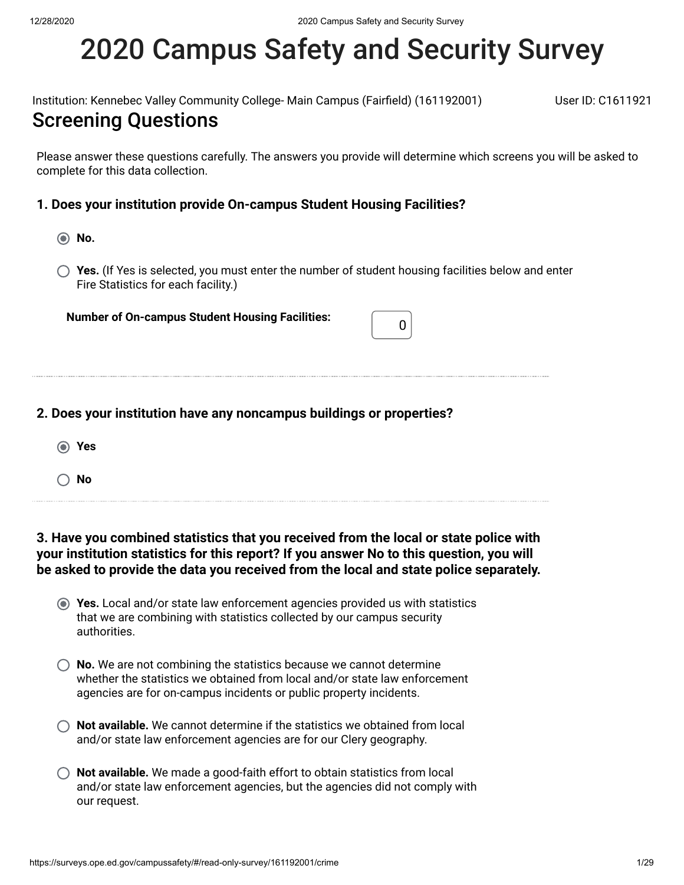# 2020 Campus Safety and Security Survey

Institution: Kennebec Valley Community College- Main Campus (Fairfield) (161192001) User ID: C1611921

### Screening Questions

Please answer these questions carefully. The answers you provide will determine which screens you will be asked to complete for this data collection.

### **1. Does your institution provide On-campus Student Housing Facilities?**

- **No.**
- **Yes.** (If Yes is selected, you must enter the number of student housing facilities below and enter Fire Statistics for each facility.)

**Number of On-campus Student Housing Facilities:** <sup>0</sup>

|  |  |  | 2. Does your institution have any noncampus buildings or properties? |
|--|--|--|----------------------------------------------------------------------|
|  |  |  |                                                                      |

- **Yes**
- **No**

**3. Have you combined statistics that you received from the local or state police with your institution statistics for this report? If you answer No to this question, you will be asked to provide the data you received from the local and state police separately.**

- **Yes.** Local and/or state law enforcement agencies provided us with statistics that we are combining with statistics collected by our campus security authorities.
- **(C)** No. We are not combining the statistics because we cannot determine whether the statistics we obtained from local and/or state law enforcement agencies are for on-campus incidents or public property incidents.
- **Not available.** We cannot determine if the statistics we obtained from local and/or state law enforcement agencies are for our Clery geography.
- **Not available.** We made a good-faith effort to obtain statistics from local and/or state law enforcement agencies, but the agencies did not comply with our request.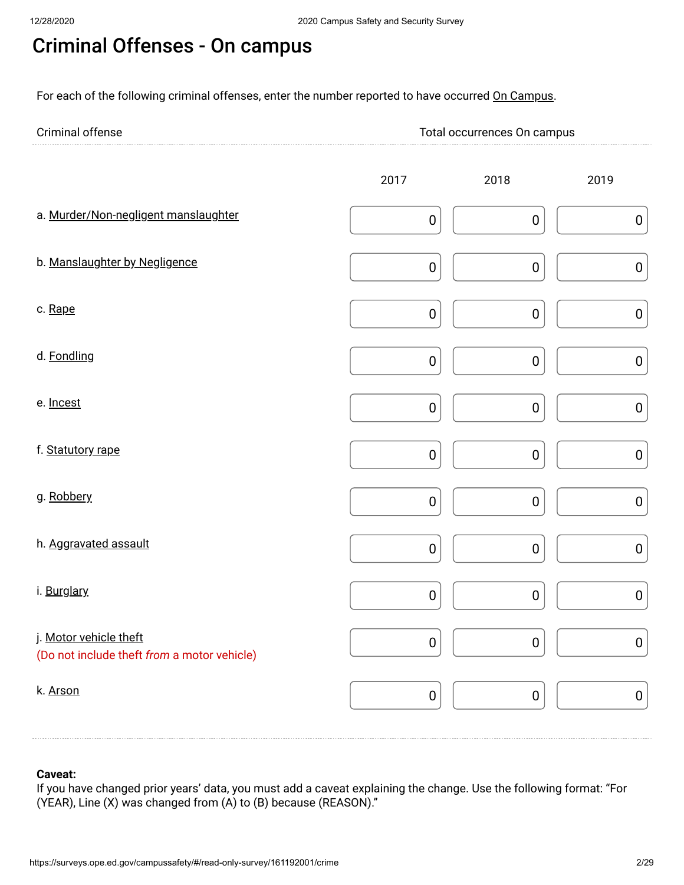# Criminal Offenses - On campus

For each of the following criminal offenses, enter the number reported to have occurred On Campus.

| Criminal<br>. | ital occurrences Un<br>mous<br>$\sim$ |
|---------------|---------------------------------------|
| <b></b>       |                                       |

|                                                                       | 2017      | 2018      | 2019      |
|-----------------------------------------------------------------------|-----------|-----------|-----------|
| a. Murder/Non-negligent manslaughter                                  | $\pmb{0}$ | $\pmb{0}$ | $\pmb{0}$ |
| b. Manslaughter by Negligence                                         | $\pmb{0}$ | $\pmb{0}$ | $\pmb{0}$ |
| c. Rape                                                               | $\pmb{0}$ | $\pmb{0}$ | ${\bf 0}$ |
| d. Fondling                                                           | $\pmb{0}$ | $\pmb{0}$ | $\pmb{0}$ |
| e. Incest                                                             | $\pmb{0}$ | $\pmb{0}$ | $\pmb{0}$ |
| f. Statutory rape                                                     | $\pmb{0}$ | $\pmb{0}$ | ${\bf 0}$ |
| g. Robbery                                                            | $\pmb{0}$ | $\pmb{0}$ | ${\bf 0}$ |
| h. Aggravated assault                                                 | $\pmb{0}$ | $\pmb{0}$ | $\pmb{0}$ |
| i. Burglary                                                           | $\pmb{0}$ | $\pmb{0}$ | ${\bf 0}$ |
| j. Motor vehicle theft<br>(Do not include theft from a motor vehicle) | $\pmb{0}$ | $\pmb{0}$ | ${\bf 0}$ |
| k. Arson                                                              | $\pmb{0}$ | $\pmb{0}$ | $\pmb{0}$ |

### **Caveat:**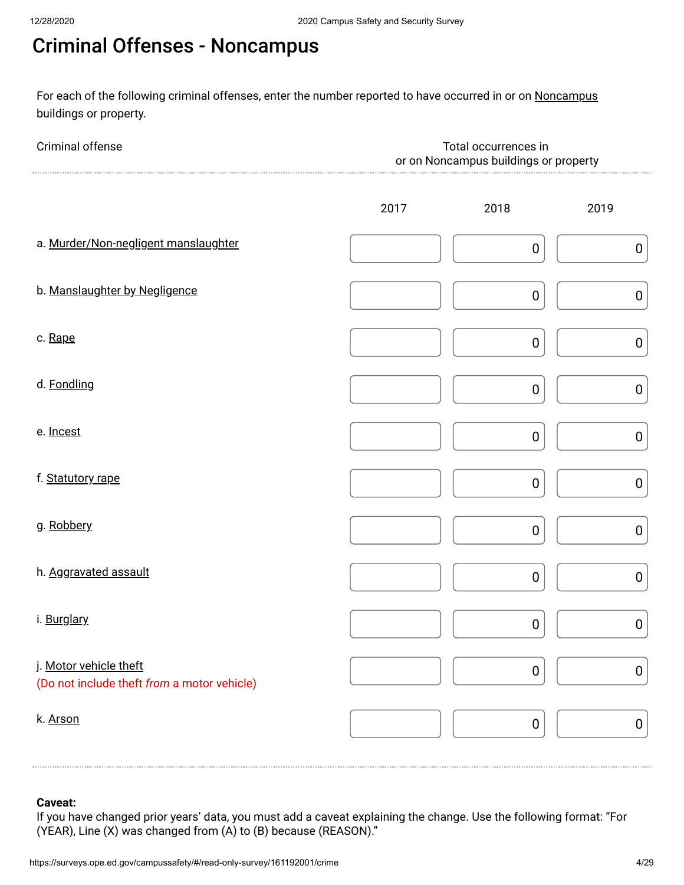# Criminal Offenses - Noncampus

For each of the following criminal offenses, enter the number reported to have occurred in or on <u>Noncampus</u> buildings or property.

| Criminal offense                                                      | Total occurrences in<br>or on Noncampus buildings or property |                  |                  |  |  |  |
|-----------------------------------------------------------------------|---------------------------------------------------------------|------------------|------------------|--|--|--|
|                                                                       | 2017                                                          | 2018             | 2019             |  |  |  |
| a. Murder/Non-negligent manslaughter                                  |                                                               | $\pmb{0}$        | $\pmb{0}$        |  |  |  |
| b. Manslaughter by Negligence                                         |                                                               | $\pmb{0}$        | $\pmb{0}$        |  |  |  |
| c. Rape                                                               |                                                               | $\mathbf 0$      | $\pmb{0}$        |  |  |  |
| d. Fondling                                                           |                                                               | $\pmb{0}$        | $\boldsymbol{0}$ |  |  |  |
| e. Incest                                                             |                                                               | $\boldsymbol{0}$ | $\pmb{0}$        |  |  |  |
| f. Statutory rape                                                     |                                                               | $\pmb{0}$        | $\pmb{0}$        |  |  |  |
| g. Robbery                                                            |                                                               | $\boldsymbol{0}$ | $\pmb{0}$        |  |  |  |
| h. Aggravated assault                                                 |                                                               | $\pmb{0}$        | $\pmb{0}$        |  |  |  |
| i. Burglary                                                           |                                                               | $\boldsymbol{0}$ | $\pmb{0}$        |  |  |  |
| j. Motor vehicle theft<br>(Do not include theft from a motor vehicle) |                                                               | $\pmb{0}$        | $\pmb{0}$        |  |  |  |
| k. Arson                                                              |                                                               | $\pmb{0}$        | $\pmb{0}$        |  |  |  |

### **Caveat:**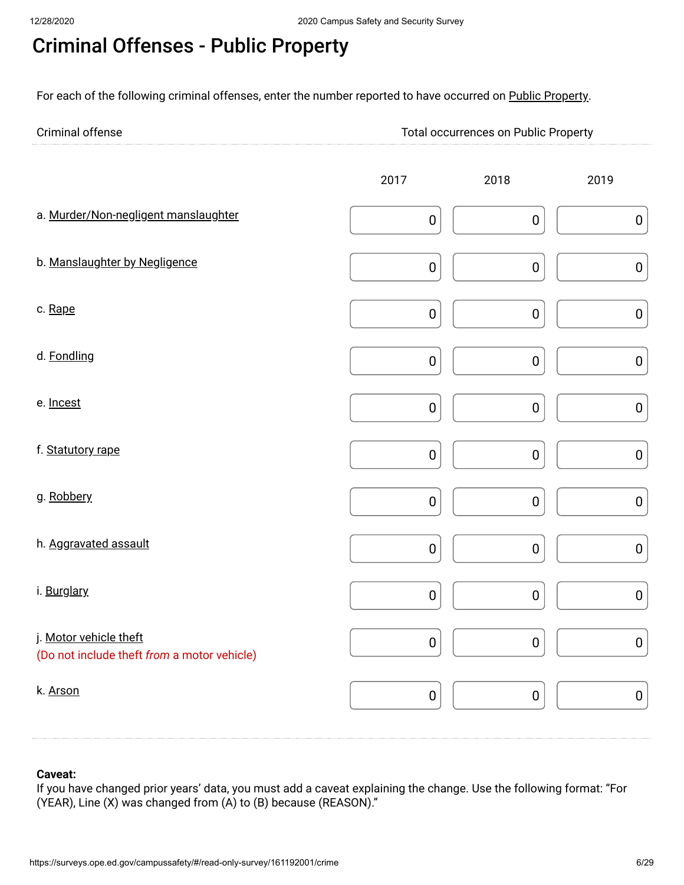# Criminal Offenses - Public Property

For each of the following criminal offenses, enter the number reported to have occurred on Public Property.

| Criminal offense | <b>Total occurrences on Public Property</b> |
|------------------|---------------------------------------------|
|                  |                                             |

|                                                                       | 2017      | 2018      | 2019      |
|-----------------------------------------------------------------------|-----------|-----------|-----------|
| a. Murder/Non-negligent manslaughter                                  | $\pmb{0}$ | $\pmb{0}$ | $\pmb{0}$ |
| b. Manslaughter by Negligence                                         | $\pmb{0}$ | $\pmb{0}$ | $\pmb{0}$ |
| c. Rape                                                               | $\pmb{0}$ | $\pmb{0}$ | $\pmb{0}$ |
| d. Fondling                                                           | $\pmb{0}$ | $\pmb{0}$ | $\pmb{0}$ |
| e. Incest                                                             | $\pmb{0}$ | $\pmb{0}$ | $\pmb{0}$ |
| f. Statutory rape                                                     | $\pmb{0}$ | $\pmb{0}$ | $\pmb{0}$ |
| g. Robbery                                                            | $\pmb{0}$ | $\pmb{0}$ | $\pmb{0}$ |
| h. Aggravated assault                                                 | $\pmb{0}$ | $\pmb{0}$ | $\pmb{0}$ |
| i. Burglary                                                           | $\pmb{0}$ | $\pmb{0}$ | $\pmb{0}$ |
| j. Motor vehicle theft<br>(Do not include theft from a motor vehicle) | $\pmb{0}$ | $\pmb{0}$ | $\pmb{0}$ |
| k. Arson                                                              | $\pmb{0}$ | $\pmb{0}$ | $\pmb{0}$ |

#### **Caveat:**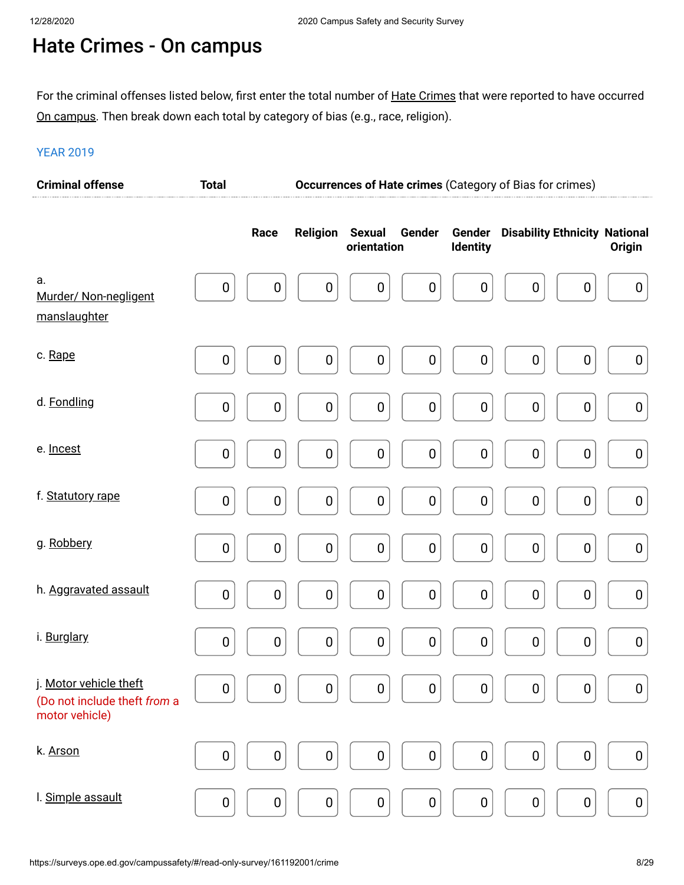# Hate Crimes - On campus

For the criminal offenses listed below, first enter the total number of <u>Hate Crimes</u> that were reported to have occurred <u>On campus</u>. Then break down each total by category of bias (e.g., race, religion).

| <b>Criminal offense</b>                                                  | <b>Total</b>     |                  |                  |                                        |                                      | Occurrences of Hate crimes (Category of Bias for crimes) |                  |
|--------------------------------------------------------------------------|------------------|------------------|------------------|----------------------------------------|--------------------------------------|----------------------------------------------------------|------------------|
|                                                                          |                  | Race             | <b>Religion</b>  | <b>Sexual</b><br>Gender<br>orientation | Gender<br><b>Identity</b>            | <b>Disability Ethnicity National</b>                     | <b>Origin</b>    |
| a.<br>Murder/ Non-negligent<br>manslaughter                              | $\boldsymbol{0}$ | $\pmb{0}$        | $\pmb{0}$        | $\boldsymbol{0}$                       | $\boldsymbol{0}$<br>$\boldsymbol{0}$ | $\pmb{0}$<br>$\pmb{0}$                                   | $\boldsymbol{0}$ |
| c. Rape                                                                  | 0                | $\bf{0}$         | $\boldsymbol{0}$ | $\boldsymbol{0}$                       | $\pmb{0}$<br>$\boldsymbol{0}$        | $\pmb{0}$<br>$\pmb{0}$                                   | $\pmb{0}$        |
| d. Fondling                                                              | $\boldsymbol{0}$ | $\pmb{0}$        | $\pmb{0}$        | $\pmb{0}$                              | $\pmb{0}$<br>$\boldsymbol{0}$        | $\pmb{0}$<br>$\pmb{0}$                                   | $\pmb{0}$        |
| e. Incest                                                                | 0                | $\boldsymbol{0}$ | $\boldsymbol{0}$ | $\pmb{0}$                              | $\pmb{0}$<br>$\pmb{0}$               | $\pmb{0}$<br>$\mathbf 0$                                 | $\pmb{0}$        |
| f. Statutory rape                                                        | $\pmb{0}$        | $\pmb{0}$        | $\pmb{0}$        | $\pmb{0}$                              | $\boldsymbol{0}$<br>$\mathbf 0$      | $\pmb{0}$<br>$\pmb{0}$                                   | $\pmb{0}$        |
| g. Robbery                                                               | 0                | $\boldsymbol{0}$ | $\boldsymbol{0}$ | $\pmb{0}$                              | $\pmb{0}$<br>$\pmb{0}$               | $\pmb{0}$<br>$\mathbf 0$                                 | $\pmb{0}$        |
| h. Aggravated assault                                                    | $\pmb{0}$        | $\pmb{0}$        | $\pmb{0}$        | $\boldsymbol{0}$                       | $\pmb{0}$<br>$\mathbf 0$             | $\pmb{0}$<br>$\pmb{0}$                                   | $\pmb{0}$        |
| i. Burglary                                                              | 0                | $\boldsymbol{0}$ | $\mathbf 0$      | $\pmb{0}$                              | $\pmb{0}$<br>$\pmb{0}$               | $\pmb{0}$<br>0                                           | $\pmb{0}$        |
| j. Motor vehicle theft<br>(Do not include theft from a<br>motor vehicle) | 0                | $\pmb{0}$        | $\pmb{0}$        | $\pmb{0}$                              | $\pmb{0}$<br>$\pmb{0}$               | $\pmb{0}$<br>0                                           | $\boldsymbol{0}$ |
| k. Arson                                                                 | 0                | $\pmb{0}$        | $\pmb{0}$        | $\pmb{0}$                              | $\pmb{0}$<br>$\pmb{0}$               | $\pmb{0}$<br>$\pmb{0}$                                   | $\pmb{0}$        |
| I. Simple assault                                                        | $\pmb{0}$        | $\pmb{0}$        | $\pmb{0}$        | $\pmb{0}$                              | $\pmb{0}$<br>$\pmb{0}$               | $\pmb{0}$<br>$\pmb{0}$                                   | $\pmb{0}$        |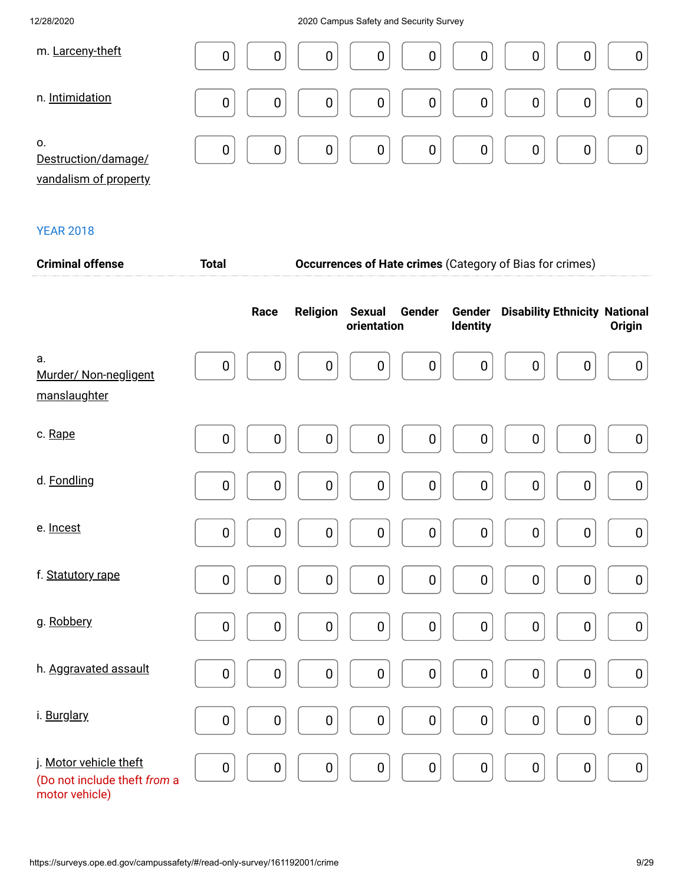| m. Larceny-theft                                   | 0<br>0<br>0<br>0<br>0<br>0<br>0 |
|----------------------------------------------------|---------------------------------|
| n. Intimidation                                    | 0<br>0<br>0<br>0<br>0<br>0<br>0 |
| 0.<br>Destruction/damage/<br>vandalism of property | 0<br>0<br>0<br>0<br>0<br>0<br>0 |

| <b>Criminal offense</b>                                                  | <b>Total</b> |             | <b>Occurrences of Hate crimes (Category of Bias for crimes)</b> |                              |                  |                    |                                      |             |                  |
|--------------------------------------------------------------------------|--------------|-------------|-----------------------------------------------------------------|------------------------------|------------------|--------------------|--------------------------------------|-------------|------------------|
|                                                                          |              | Race        | <b>Religion</b>                                                 | <b>Sexual</b><br>orientation | Gender           | Gender<br>Identity | <b>Disability Ethnicity National</b> |             | Origin           |
| a.<br>Murder/ Non-negligent<br>manslaughter                              | $\pmb{0}$    | $\pmb{0}$   | $\pmb{0}$                                                       | $\boldsymbol{0}$             | $\boldsymbol{0}$ | $\boldsymbol{0}$   | $\boldsymbol{0}$                     | $\mathbf 0$ | $\boldsymbol{0}$ |
| c. Rape                                                                  | $\pmb{0}$    | $\pmb{0}$   | $\pmb{0}$                                                       | $\pmb{0}$                    | $\boldsymbol{0}$ | $\pmb{0}$          | $\pmb{0}$                            | $\pmb{0}$   | $\pmb{0}$        |
| d. Fondling                                                              | $\pmb{0}$    | 0           | $\pmb{0}$                                                       | $\pmb{0}$                    | $\pmb{0}$        | $\pmb{0}$          | $\pmb{0}$                            | $\pmb{0}$   | $\pmb{0}$        |
| e. Incest                                                                | $\pmb{0}$    | 0           | $\pmb{0}$                                                       | $\pmb{0}$                    | $\boldsymbol{0}$ | $\pmb{0}$          | $\pmb{0}$                            | $\pmb{0}$   | $\pmb{0}$        |
| f. Statutory rape                                                        | $\pmb{0}$    | $\pmb{0}$   | $\pmb{0}$                                                       | $\pmb{0}$                    | $\pmb{0}$        | $\pmb{0}$          | $\pmb{0}$                            | $\pmb{0}$   | $\pmb{0}$        |
| g. Robbery                                                               | $\pmb{0}$    | $\mathbf 0$ | $\pmb{0}$                                                       | $\pmb{0}$                    | $\pmb{0}$        | $\pmb{0}$          | $\pmb{0}$                            | $\pmb{0}$   | $\pmb{0}$        |
| h. Aggravated assault                                                    | $\pmb{0}$    | $\pmb{0}$   | $\pmb{0}$                                                       | $\pmb{0}$                    | $\pmb{0}$        | $\pmb{0}$          | $\pmb{0}$                            | $\pmb{0}$   | $\pmb{0}$        |
| i. Burglary                                                              | $\pmb{0}$    | $\pmb{0}$   | $\pmb{0}$                                                       | $\pmb{0}$                    | $\pmb{0}$        | $\pmb{0}$          | $\pmb{0}$                            | $\pmb{0}$   | $\pmb{0}$        |
| j. Motor vehicle theft<br>(Do not include theft from a<br>motor vehicle) | $\pmb{0}$    | 0           | $\pmb{0}$                                                       | $\pmb{0}$                    | $\pmb{0}$        | $\pmb{0}$          | $\pmb{0}$                            | $\pmb{0}$   | $\pmb{0}$        |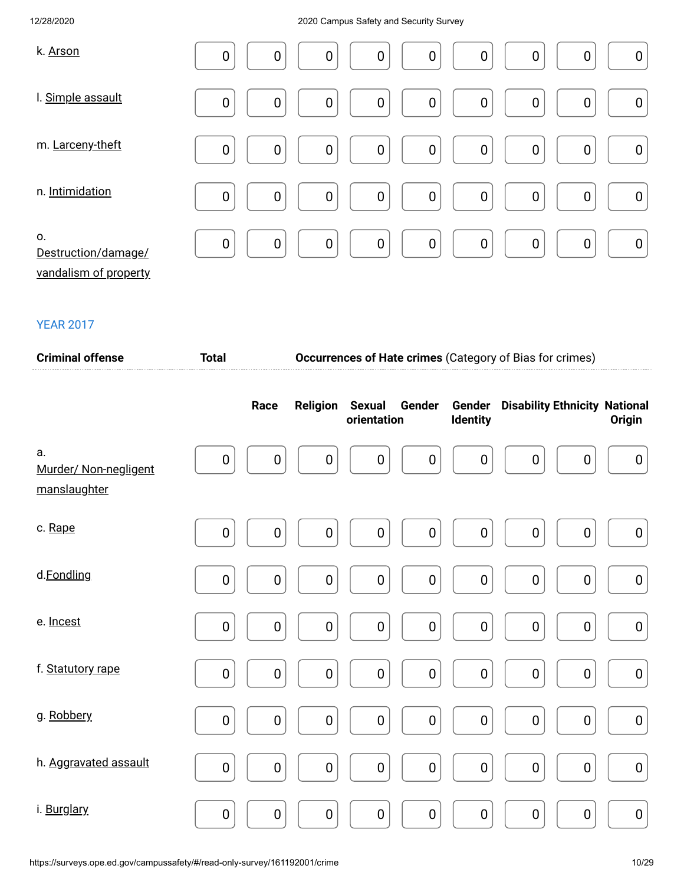| k. Arson                                           | $\mathbf 0$ | $\boldsymbol{0}$ | $\boldsymbol{0}$ | $\boldsymbol{0}$ | $\mathbf 0$      | $\boldsymbol{0}$ | $\boldsymbol{0}$ | 0                | $\boldsymbol{0}$ |
|----------------------------------------------------|-------------|------------------|------------------|------------------|------------------|------------------|------------------|------------------|------------------|
| I. Simple assault                                  | $\mathbf 0$ | $\mathbf 0$      | $\boldsymbol{0}$ | $\boldsymbol{0}$ | $\boldsymbol{0}$ | $\boldsymbol{0}$ | $\boldsymbol{0}$ | $\mathbf 0$      | $\boldsymbol{0}$ |
| m. Larceny-theft                                   | $\mathbf 0$ | $\mathbf 0$      | $\boldsymbol{0}$ | $\mathbf 0$      | $\mathbf 0$      | $\boldsymbol{0}$ | $\boldsymbol{0}$ | $\mathbf 0$      | $\boldsymbol{0}$ |
| n. Intimidation                                    | $\mathbf 0$ | $\mathbf 0$      | $\boldsymbol{0}$ | $\mathbf 0$      | $\mathbf 0$      | $\boldsymbol{0}$ | $\mathbf 0$      | $\mathbf 0$      | $\pmb{0}$        |
| 0.<br>Destruction/damage/<br>vandalism of property | $\mathbf 0$ | $\mathbf 0$      | $\boldsymbol{0}$ | $\mathbf 0$      | $\mathbf 0$      | $\mathbf 0$      | $\pmb{0}$        | $\boldsymbol{0}$ | $\pmb{0}$        |

| <b>Criminal offense</b>                     | <b>Total</b> |                  | <b>Occurrences of Hate crimes (Category of Bias for crimes)</b> |                              |                  |                           |                                      |                  |                  |  |
|---------------------------------------------|--------------|------------------|-----------------------------------------------------------------|------------------------------|------------------|---------------------------|--------------------------------------|------------------|------------------|--|
|                                             |              | Race             | Religion                                                        | <b>Sexual</b><br>orientation | Gender           | Gender<br><b>Identity</b> | <b>Disability Ethnicity National</b> |                  | Origin           |  |
| a.<br>Murder/ Non-negligent<br>manslaughter | $\bf{0}$     | $\mathbf 0$      | $\boldsymbol{0}$                                                | $\mathbf 0$                  | $\mathbf 0$      | $\boldsymbol{0}$          | $\boldsymbol{0}$                     | 0                | $\boldsymbol{0}$ |  |
| c. Rape                                     | $\pmb{0}$    | $\boldsymbol{0}$ | $\pmb{0}$                                                       | $\pmb{0}$                    | $\pmb{0}$        | $\boldsymbol{0}$          | $\boldsymbol{0}$                     | $\boldsymbol{0}$ | $\boldsymbol{0}$ |  |
| d.Fondling                                  | $\pmb{0}$    | $\pmb{0}$        | $\pmb{0}$                                                       | $\pmb{0}$                    | $\pmb{0}$        | $\mathbf 0$               | 0                                    | $\pmb{0}$        | $\pmb{0}$        |  |
| e. Incest                                   | $\mathbf 0$  | $\mathbf 0$      | $\pmb{0}$                                                       | $\mathbf 0$                  | $\mathbf 0$      | $\pmb{0}$                 | $\boldsymbol{0}$                     | $\bf{0}$         | $\pmb{0}$        |  |
| f. Statutory rape                           | $\mathbf 0$  | $\mathbf 0$      | $\mathbf 0$                                                     | $\mathbf 0$                  | $\mathbf 0$      | $\boldsymbol{0}$          | $\pmb{0}$                            | $\mathbf 0$      | $\pmb{0}$        |  |
| g. Robbery                                  | $\mathbf 0$  | $\pmb{0}$        | $\pmb{0}$                                                       | $\boldsymbol{0}$             | $\pmb{0}$        | $\boldsymbol{0}$          | $\pmb{0}$                            | $\pmb{0}$        | $\pmb{0}$        |  |
| h. Aggravated assault                       | $\pmb{0}$    | $\mathbf 0$      | $\pmb{0}$                                                       | $\pmb{0}$                    | $\boldsymbol{0}$ | $\pmb{0}$                 | $\pmb{0}$                            | $\pmb{0}$        | $\pmb{0}$        |  |
| i. Burglary                                 | $\pmb{0}$    | $\pmb{0}$        | $\pmb{0}$                                                       | $\pmb{0}$                    | $\pmb{0}$        | $\pmb{0}$                 | $\mathbf 0$                          | $\pmb{0}$        | $\pmb{0}$        |  |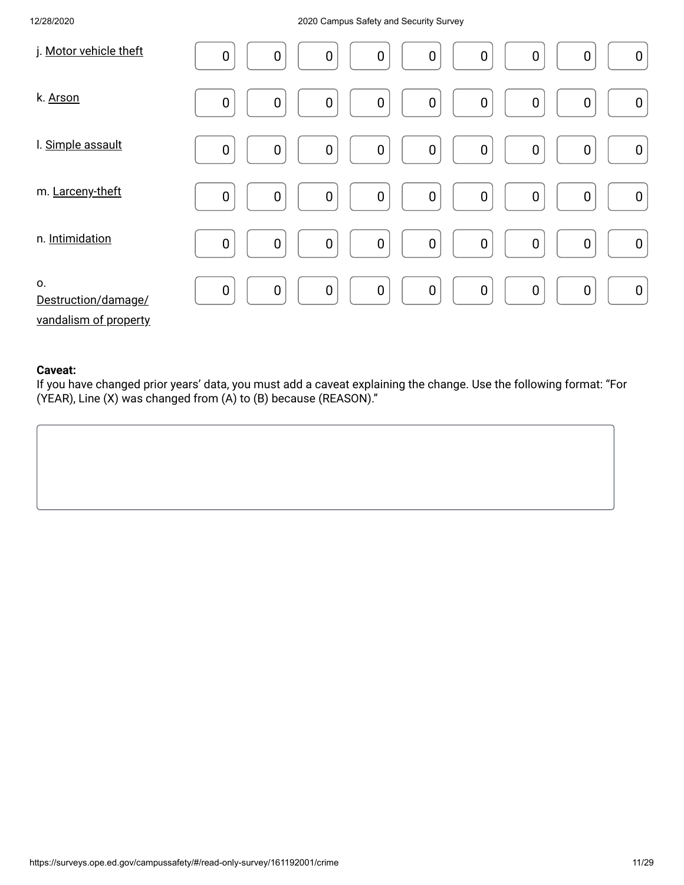| j. Motor vehicle theft                             | $\pmb{0}$<br>$\boldsymbol{0}$<br>$\mathbf 0$<br>$\pmb{0}$<br>$\boldsymbol{0}$<br>$\pmb{0}$<br>$\mathbf 0$<br>$\boldsymbol{0}$<br>$\boldsymbol{0}$ |
|----------------------------------------------------|---------------------------------------------------------------------------------------------------------------------------------------------------|
| k. Arson                                           | $\mathbf 0$<br>$\pmb{0}$<br>$\mathbf 0$<br>$\boldsymbol{0}$<br>$\mathbf 0$<br>$\mathbf 0$<br>$\boldsymbol{0}$<br>0<br>$\boldsymbol{0}$            |
| I. Simple assault                                  | $\mathbf 0$<br>$\pmb{0}$<br>$\boldsymbol{0}$<br>$\mathbf 0$<br>$\pmb{0}$<br>$\boldsymbol{0}$<br>$\pmb{0}$<br>$\mathbf 0$<br>$\mathbf 0$           |
| m. Larceny-theft                                   | $\boldsymbol{0}$<br>$\mathbf 0$<br>$\pmb{0}$<br>$\mathbf 0$<br>$\pmb{0}$<br>$\boldsymbol{0}$<br>$\boldsymbol{0}$<br>$\mathbf 0$<br>$\pmb{0}$      |
| n. Intimidation                                    | $\mathbf 0$<br>$\pmb{0}$<br>$\boldsymbol{0}$<br>$\mathbf 0$<br>$\mathbf 0$<br>$\pmb{0}$<br>$\boldsymbol{0}$<br>$\pmb{0}$<br>$\boldsymbol{0}$      |
| 0.<br>Destruction/damage/<br>vandalism of property | $\mathbf 0$<br>$\mathbf 0$<br>$\pmb{0}$<br>$\mathbf 0$<br>$\mathbf 0$<br>$\pmb{0}$<br>$\boldsymbol{0}$<br>$\pmb{0}$<br>$\boldsymbol{0}$           |

#### **Caveat:**

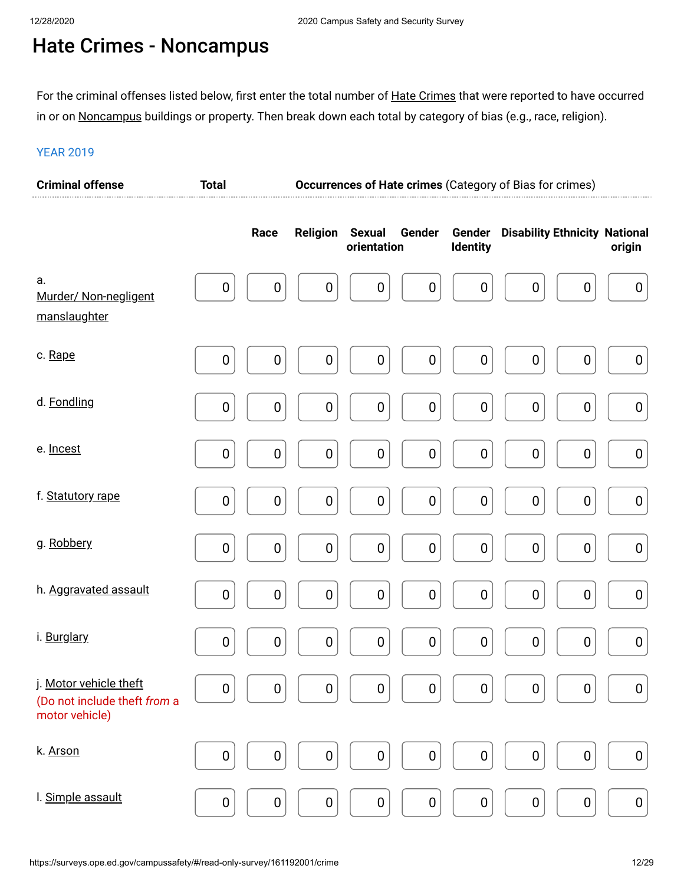# Hate Crimes - Noncampus

For the criminal offenses listed below, first enter the total number of <u>Hate Crimes</u> that were reported to have occurred in or on <u>Noncampus</u> buildings or property. Then break down each total by category of bias (e.g., race, religion).

| <b>Criminal offense</b>                                                  | <b>Total</b>     |                  | Occurrences of Hate crimes (Category of Bias for crimes) |                              |                  |                           |                                      |                  |
|--------------------------------------------------------------------------|------------------|------------------|----------------------------------------------------------|------------------------------|------------------|---------------------------|--------------------------------------|------------------|
|                                                                          |                  | Race             | <b>Religion</b>                                          | <b>Sexual</b><br>orientation | Gender           | Gender<br><b>Identity</b> | <b>Disability Ethnicity National</b> | origin           |
| a.<br>Murder/ Non-negligent<br>manslaughter                              | $\boldsymbol{0}$ | $\pmb{0}$        | $\pmb{0}$                                                | $\boldsymbol{0}$             | $\boldsymbol{0}$ | $\boldsymbol{0}$          | $\pmb{0}$<br>$\pmb{0}$               | $\boldsymbol{0}$ |
| c. Rape                                                                  | 0                | $\boldsymbol{0}$ | $\boldsymbol{0}$                                         | $\boldsymbol{0}$             | $\pmb{0}$        | $\boldsymbol{0}$          | $\pmb{0}$<br>$\pmb{0}$               | $\pmb{0}$        |
| d. Fondling                                                              | $\boldsymbol{0}$ | $\pmb{0}$        | $\pmb{0}$                                                | $\pmb{0}$                    | $\pmb{0}$        | $\boldsymbol{0}$          | $\pmb{0}$<br>$\pmb{0}$               | $\pmb{0}$        |
| e. Incest                                                                | 0                | $\boldsymbol{0}$ | $\boldsymbol{0}$                                         | $\pmb{0}$                    | $\pmb{0}$        | $\pmb{0}$                 | $\pmb{0}$<br>$\mathbf 0$             | $\pmb{0}$        |
| f. Statutory rape                                                        | $\pmb{0}$        | $\pmb{0}$        | $\pmb{0}$                                                | $\pmb{0}$                    | $\boldsymbol{0}$ | $\mathbf 0$               | $\pmb{0}$<br>$\pmb{0}$               | $\pmb{0}$        |
| g. Robbery                                                               | 0                | $\boldsymbol{0}$ | $\boldsymbol{0}$                                         | $\pmb{0}$                    | $\pmb{0}$        | $\pmb{0}$                 | $\pmb{0}$<br>$\pmb{0}$               | $\pmb{0}$        |
| h. Aggravated assault                                                    | $\pmb{0}$        | $\pmb{0}$        | $\pmb{0}$                                                | $\boldsymbol{0}$             | $\pmb{0}$        | $\mathbf 0$               | $\pmb{0}$<br>$\pmb{0}$               | $\pmb{0}$        |
| i. Burglary                                                              | 0                | $\boldsymbol{0}$ | $\mathbf 0$                                              | $\pmb{0}$                    | $\pmb{0}$        | $\pmb{0}$                 | $\pmb{0}$<br>0                       | $\pmb{0}$        |
| j. Motor vehicle theft<br>(Do not include theft from a<br>motor vehicle) | 0                | $\pmb{0}$        | $\pmb{0}$                                                | $\pmb{0}$                    | $\pmb{0}$        | $\pmb{0}$                 | $\pmb{0}$<br>0                       | $\boldsymbol{0}$ |
| k. Arson                                                                 | 0                | $\pmb{0}$        | $\pmb{0}$                                                | $\pmb{0}$                    | $\pmb{0}$        | $\pmb{0}$                 | $\pmb{0}$<br>$\pmb{0}$               | $\pmb{0}$        |
| I. Simple assault                                                        | $\pmb{0}$        | $\pmb{0}$        | $\pmb{0}$                                                | $\pmb{0}$                    | $\pmb{0}$        | $\pmb{0}$                 | $\pmb{0}$<br>$\pmb{0}$               | $\pmb{0}$        |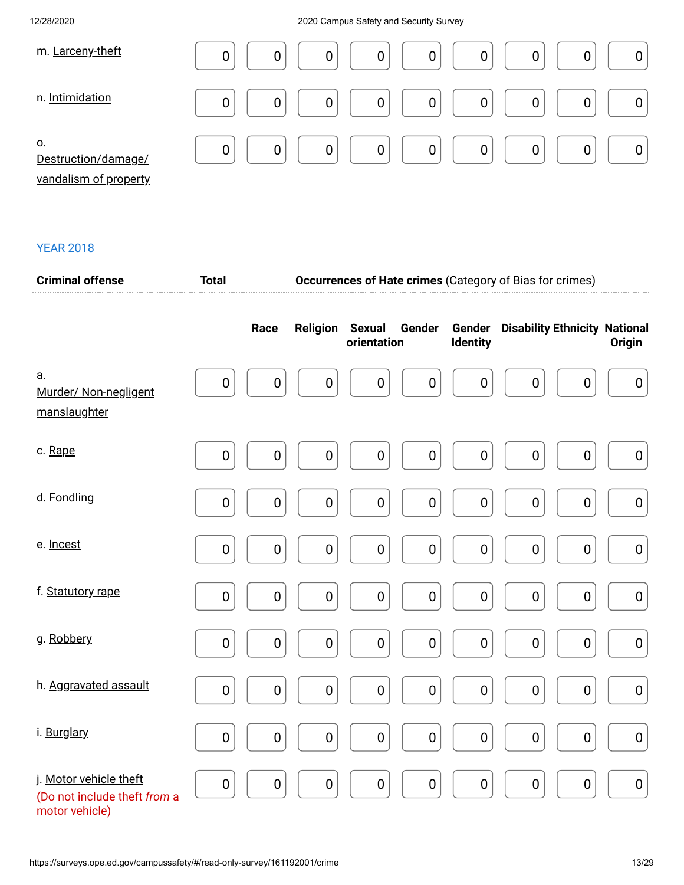| m. Larceny-theft                                   | 0<br>0<br>0<br>0<br>0<br>0<br>0                           |
|----------------------------------------------------|-----------------------------------------------------------|
| n. Intimidation                                    | $\mathbf 0$<br>0<br>0<br>0<br>0<br>0                      |
| 0.<br>Destruction/damage/<br>vandalism of property | 0 <sup>1</sup><br>$\overline{0}$<br>0<br>0<br>0<br>0<br>0 |

| <b>Criminal offense</b>                                                  | <b>Total</b> |                  |                  | <b>Occurrences of Hate crimes (Category of Bias for crimes)</b> |                  |                           |                                      |           |                  |
|--------------------------------------------------------------------------|--------------|------------------|------------------|-----------------------------------------------------------------|------------------|---------------------------|--------------------------------------|-----------|------------------|
|                                                                          |              | Race             | <b>Religion</b>  | <b>Sexual</b><br>orientation                                    | Gender           | Gender<br><b>Identity</b> | <b>Disability Ethnicity National</b> |           | Origin           |
| a.<br>Murder/ Non-negligent<br>manslaughter                              | 0            | $\boldsymbol{0}$ | 0                | 0                                                               | $\boldsymbol{0}$ | $\boldsymbol{0}$          | 0                                    | 0         | $\boldsymbol{0}$ |
| c. Rape                                                                  | $\pmb{0}$    | 0                | $\boldsymbol{0}$ | $\boldsymbol{0}$                                                | $\pmb{0}$        | $\boldsymbol{0}$          | $\boldsymbol{0}$                     | 0         | $\boldsymbol{0}$ |
| d. Fondling                                                              | $\pmb{0}$    | $\pmb{0}$        | $\pmb{0}$        | $\pmb{0}$                                                       | $\pmb{0}$        | $\pmb{0}$                 | $\pmb{0}$                            | $\pmb{0}$ | $\pmb{0}$        |
| e. Incest                                                                | $\pmb{0}$    | $\pmb{0}$        | $\pmb{0}$        | $\pmb{0}$                                                       | $\pmb{0}$        | $\mathbf 0$               | $\pmb{0}$                            | $\pmb{0}$ | $\pmb{0}$        |
| f. Statutory rape                                                        | $\pmb{0}$    | $\pmb{0}$        | $\pmb{0}$        | $\pmb{0}$                                                       | $\pmb{0}$        | $\pmb{0}$                 | $\pmb{0}$                            | $\pmb{0}$ | $\pmb{0}$        |
| g. Robbery                                                               | $\mathbf 0$  | $\pmb{0}$        | 0                | $\pmb{0}$                                                       | $\pmb{0}$        | $\pmb{0}$                 | $\pmb{0}$                            | 0         | $\pmb{0}$        |
| h. Aggravated assault                                                    | $\pmb{0}$    | $\pmb{0}$        | $\pmb{0}$        | $\pmb{0}$                                                       | $\pmb{0}$        | $\pmb{0}$                 | $\pmb{0}$                            | $\pmb{0}$ | $\pmb{0}$        |
| i. Burglary                                                              | $\pmb{0}$    | $\pmb{0}$        | $\pmb{0}$        | $\pmb{0}$                                                       | $\pmb{0}$        | $\pmb{0}$                 | $\pmb{0}$                            | $\pmb{0}$ | $\pmb{0}$        |
| j. Motor vehicle theft<br>(Do not include theft from a<br>motor vehicle) | $\pmb{0}$    | $\pmb{0}$        | $\pmb{0}$        | $\pmb{0}$                                                       | $\pmb{0}$        | $\pmb{0}$                 | $\pmb{0}$                            | $\pmb{0}$ | $\pmb{0}$        |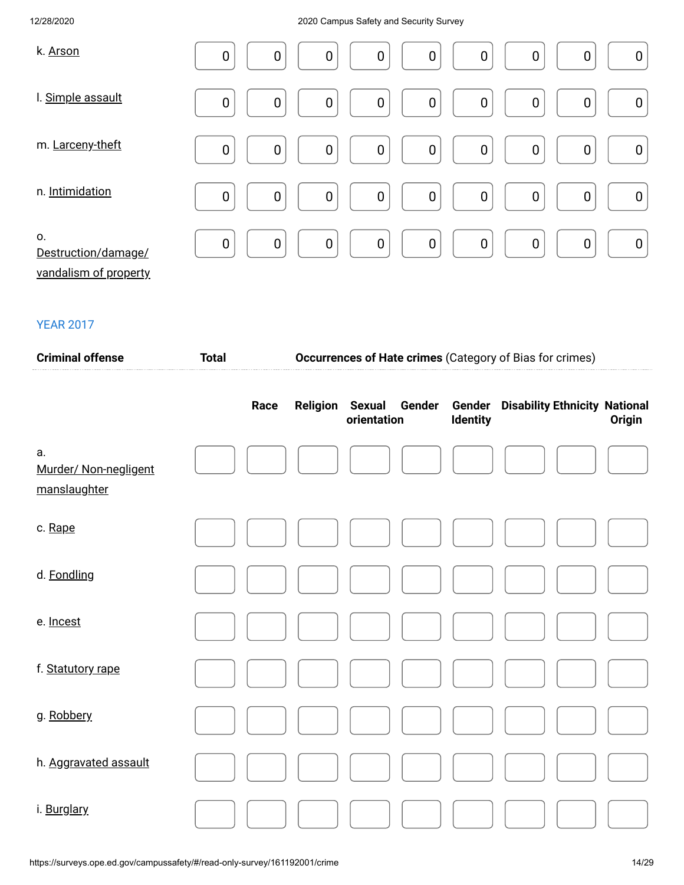| k. Arson                                           | $\mathbf 0$<br>$\boldsymbol{0}$<br>$\boldsymbol{0}$<br>$\mathbf 0$<br>$\boldsymbol{0}$<br>$\boldsymbol{0}$<br>$\mathbf 0$<br>$\boldsymbol{0}$<br>0            |
|----------------------------------------------------|---------------------------------------------------------------------------------------------------------------------------------------------------------------|
| I. Simple assault                                  | $\pmb{0}$<br>$\mathbf 0$<br>$\boldsymbol{0}$<br>$\boldsymbol{0}$<br>$\pmb{0}$<br>$\boldsymbol{0}$<br>$\boldsymbol{0}$<br>$\boldsymbol{0}$<br>$\boldsymbol{0}$ |
| m. Larceny-theft                                   | $\mathbf 0$<br>$\pmb{0}$<br>$\overline{0}$<br>$\boldsymbol{0}$<br>$\mathbf 0$<br>$\mathbf 0$<br>$\mathbf 0$<br>$\boldsymbol{0}$<br>$\mathbf 0$                |
| n. Intimidation                                    | $\mathbf 0$<br>$\boldsymbol{0}$<br>$\overline{0}$<br>$\mathbf 0$<br>$\boldsymbol{0}$<br>$\mathbf 0$<br>$\pmb{0}$<br>$\mathbf 0$<br>$\boldsymbol{0}$           |
| 0.<br>Destruction/damage/<br>vandalism of property | $\overline{0}$<br>$\mathbf 0$<br>$\mathbf 0$<br>$\mathbf 0$<br>$\boldsymbol{0}$<br>$\mathbf 0$<br>$\mathbf 0$<br>$\mathbf 0$<br>$\boldsymbol{0}$              |

| <b>Criminal offense</b>                     | <b>Total</b> |      | Occurrences of Hate crimes (Category of Bias for crimes) |                                        |                           |                                      |        |  |
|---------------------------------------------|--------------|------|----------------------------------------------------------|----------------------------------------|---------------------------|--------------------------------------|--------|--|
|                                             |              | Race | <b>Religion</b>                                          | <b>Sexual</b><br>Gender<br>orientation | Gender<br><b>Identity</b> | <b>Disability Ethnicity National</b> | Origin |  |
| а.<br>Murder/ Non-negligent<br>manslaughter |              |      |                                                          |                                        |                           |                                      |        |  |
| c. Rape                                     |              |      |                                                          |                                        |                           |                                      |        |  |
| d. Fondling                                 |              |      |                                                          |                                        |                           |                                      |        |  |
| e. Incest                                   |              |      |                                                          |                                        |                           |                                      |        |  |
| f. Statutory rape                           |              |      |                                                          |                                        |                           |                                      |        |  |
| g. Robbery                                  |              |      |                                                          |                                        |                           |                                      |        |  |
| h. Aggravated assault                       |              |      |                                                          |                                        |                           |                                      |        |  |
| i. Burglary                                 |              |      |                                                          |                                        |                           |                                      |        |  |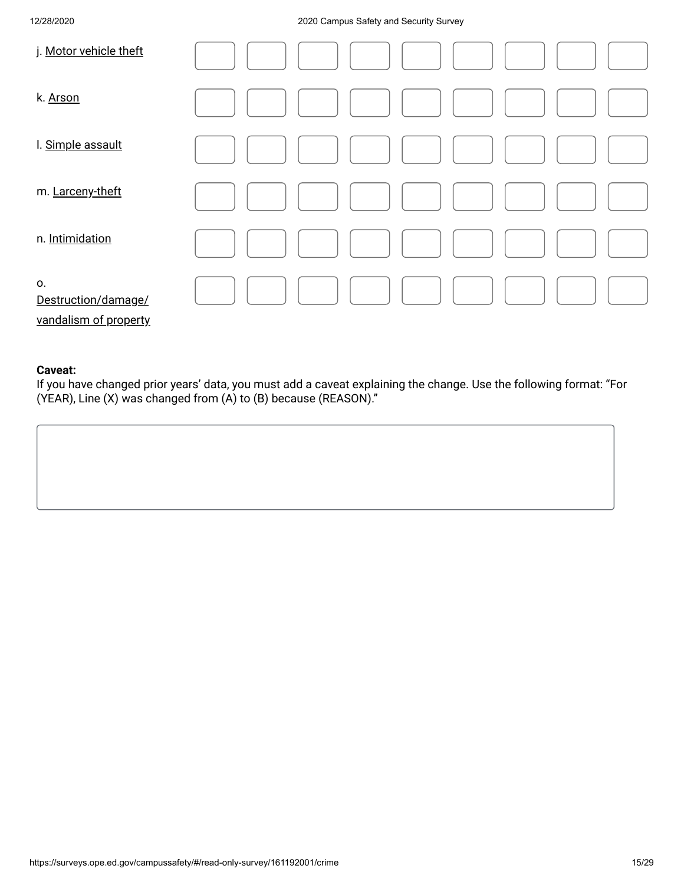| j. Motor vehicle theft                             |  |
|----------------------------------------------------|--|
| k. Arson                                           |  |
| I. Simple assault                                  |  |
| m. Larceny-theft                                   |  |
| n. Intimidation                                    |  |
| 0.<br>Destruction/damage/<br>vandalism of property |  |

### **Caveat:**

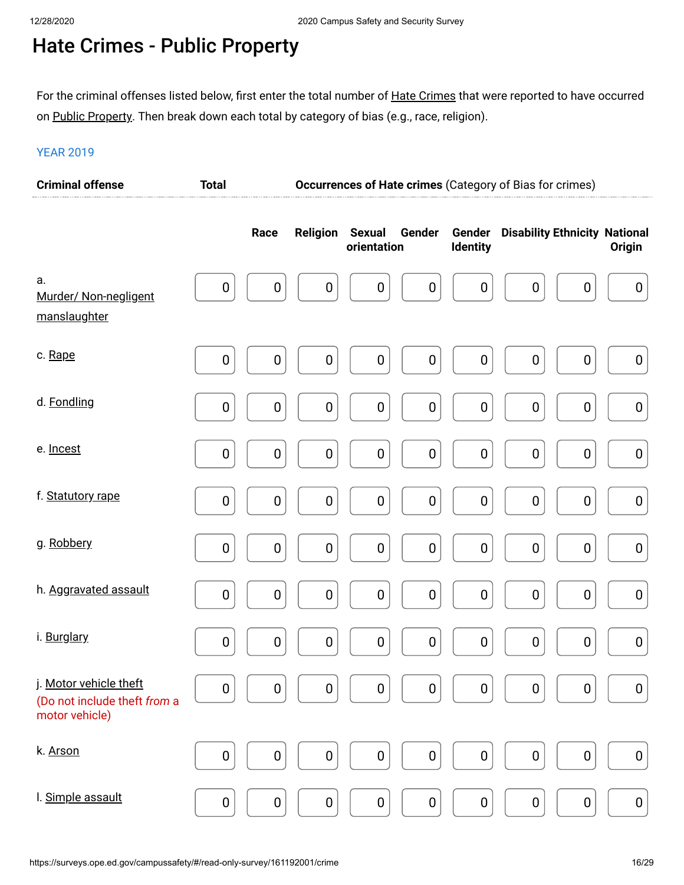# Hate Crimes - Public Property

For the criminal offenses listed below, first enter the total number of <u>Hate Crimes</u> that were reported to have occurred on <u>Public Property</u>. Then break down each total by category of bias (e.g., race, religion).

| <b>Criminal offense</b>                                                  | <b>Total</b>     |                  | Occurrences of Hate crimes (Category of Bias for crimes) |                                        |                                      |                                      |                  |  |
|--------------------------------------------------------------------------|------------------|------------------|----------------------------------------------------------|----------------------------------------|--------------------------------------|--------------------------------------|------------------|--|
|                                                                          |                  | Race             | <b>Religion</b>                                          | <b>Sexual</b><br>Gender<br>orientation | Gender<br><b>Identity</b>            | <b>Disability Ethnicity National</b> | <b>Origin</b>    |  |
| a.<br>Murder/ Non-negligent<br>manslaughter                              | $\boldsymbol{0}$ | $\pmb{0}$        | $\boldsymbol{0}$                                         | $\boldsymbol{0}$                       | $\boldsymbol{0}$<br>$\boldsymbol{0}$ | $\pmb{0}$<br>$\boldsymbol{0}$        | $\pmb{0}$        |  |
| c. Rape                                                                  | $\boldsymbol{0}$ | $\boldsymbol{0}$ | $\boldsymbol{0}$                                         | $\boldsymbol{0}$                       | $\pmb{0}$<br>$\boldsymbol{0}$        | $\pmb{0}$<br>$\pmb{0}$               | $\boldsymbol{0}$ |  |
| d. Fondling                                                              | $\boldsymbol{0}$ | $\pmb{0}$        | $\boldsymbol{0}$                                         | $\pmb{0}$                              | $\pmb{0}$<br>$\boldsymbol{0}$        | $\pmb{0}$<br>$\pmb{0}$               | $\pmb{0}$        |  |
| e. Incest                                                                | 0                | $\pmb{0}$        | $\boldsymbol{0}$                                         | $\pmb{0}$                              | $\pmb{0}$<br>$\boldsymbol{0}$        | $\pmb{0}$<br>$\pmb{0}$               | $\pmb{0}$        |  |
| f. Statutory rape                                                        | $\boldsymbol{0}$ | $\pmb{0}$        | $\pmb{0}$                                                | $\pmb{0}$                              | $\pmb{0}$<br>$\boldsymbol{0}$        | $\pmb{0}$<br>$\pmb{0}$               | $\pmb{0}$        |  |
| g. Robbery                                                               | 0                | $\pmb{0}$        | $\boldsymbol{0}$                                         | $\pmb{0}$                              | $\pmb{0}$<br>$\boldsymbol{0}$        | $\pmb{0}$<br>$\pmb{0}$               | $\pmb{0}$        |  |
| h. Aggravated assault                                                    | $\pmb{0}$        | $\pmb{0}$        | $\pmb{0}$                                                | $\pmb{0}$                              | $\pmb{0}$<br>$\boldsymbol{0}$        | $\pmb{0}$<br>$\pmb{0}$               | $\pmb{0}$        |  |
| i. Burglary                                                              | $\boldsymbol{0}$ | $\pmb{0}$        | $\boldsymbol{0}$                                         | $\pmb{0}$                              | $\pmb{0}$<br>$\boldsymbol{0}$        | $\pmb{0}$<br>$\pmb{0}$               | $\pmb{0}$        |  |
| j. Motor vehicle theft<br>(Do not include theft from a<br>motor vehicle) | 0                | $\pmb{0}$        | $\pmb{0}$                                                | $\pmb{0}$                              | $\pmb{0}$<br>$\boldsymbol{0}$        | $\pmb{0}$<br>0                       | $\boldsymbol{0}$ |  |
| k. Arson                                                                 | 0                | $\pmb{0}$        | $\pmb{0}$                                                | $\pmb{0}$                              | $\pmb{0}$<br>$\boldsymbol{0}$        | $\pmb{0}$<br>0                       | $\pmb{0}$        |  |
| I. Simple assault                                                        | $\pmb{0}$        | $\pmb{0}$        | $\pmb{0}$                                                | $\pmb{0}$                              | $\pmb{0}$<br>$\boldsymbol{0}$        | $\pmb{0}$<br>$\pmb{0}$               | $\pmb{0}$        |  |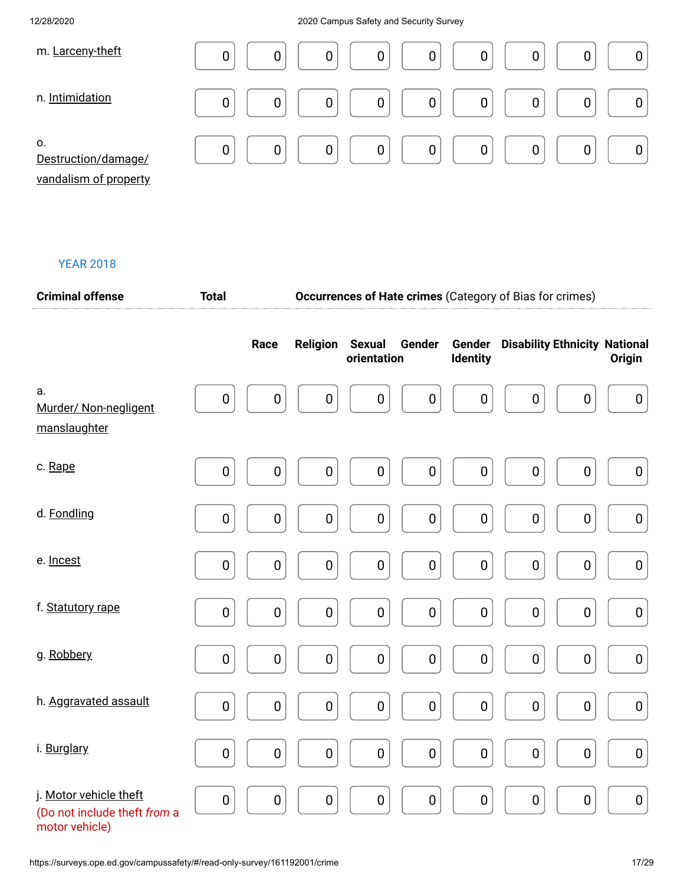| m. Larceny-theft                                   | 0<br>0<br>0<br>0<br>0<br>0<br>0                      |
|----------------------------------------------------|------------------------------------------------------|
| n. Intimidation                                    | 0<br>0<br>$\overline{0}$<br>0<br>$\overline{0}$<br>0 |
| 0.<br>Destruction/damage/<br>vandalism of property | $\overline{0}$<br>0<br>0<br>0<br>0<br>$\overline{0}$ |

| <b>Criminal offense</b>                                                  | <b>Total</b>     |             | <b>Occurrences of Hate crimes</b> (Category of Bias for crimes) |                                        |             |                                             |               |  |
|--------------------------------------------------------------------------|------------------|-------------|-----------------------------------------------------------------|----------------------------------------|-------------|---------------------------------------------|---------------|--|
|                                                                          |                  | Race        | Religion                                                        | <b>Sexual</b><br>Gender<br>orientation | Identity    | <b>Gender</b> Disability Ethnicity National | <b>Origin</b> |  |
| a.<br>Murder/ Non-negligent<br>manslaughter                              | $\pmb{0}$        | $\pmb{0}$   | $\pmb{0}$                                                       | $\pmb{0}$<br>$\pmb{0}$                 | $\pmb{0}$   | $\pmb{0}$<br>$\pmb{0}$                      | $\pmb{0}$     |  |
| c. Rape                                                                  | $\pmb{0}$        | $\pmb{0}$   | $\pmb{0}$                                                       | $\pmb{0}$<br>$\pmb{0}$                 | $\pmb{0}$   | $\pmb{0}$<br>$\pmb{0}$                      | $\pmb{0}$     |  |
| d. Fondling                                                              | $\mathbf 0$      | $\mathbf 0$ | $\pmb{0}$                                                       | $\mathbf 0$<br>$\pmb{0}$               | $\mathbf 0$ | $\pmb{0}$<br>$\pmb{0}$                      | $\pmb{0}$     |  |
| e. Incest                                                                | $\pmb{0}$        | $\pmb{0}$   | $\pmb{0}$                                                       | $\pmb{0}$<br>$\pmb{0}$                 | $\pmb{0}$   | $\pmb{0}$<br>$\pmb{0}$                      | $\pmb{0}$     |  |
| f. Statutory rape                                                        | $\pmb{0}$        | $\pmb{0}$   | $\pmb{0}$                                                       | $\pmb{0}$<br>$\pmb{0}$                 | $\pmb{0}$   | $\pmb{0}$<br>$\pmb{0}$                      | $\pmb{0}$     |  |
| g. Robbery                                                               | $\pmb{0}$        | $\pmb{0}$   | $\pmb{0}$                                                       | $\pmb{0}$<br>$\pmb{0}$                 | $\pmb{0}$   | $\pmb{0}$<br>$\pmb{0}$                      | $\pmb{0}$     |  |
| h. Aggravated assault                                                    | $\pmb{0}$        | $\pmb{0}$   | $\pmb{0}$                                                       | $\pmb{0}$<br>$\pmb{0}$                 | $\pmb{0}$   | $\pmb{0}$<br>$\pmb{0}$                      | $\pmb{0}$     |  |
| i. Burglary                                                              | $\pmb{0}$        | $\pmb{0}$   | $\pmb{0}$                                                       | $\pmb{0}$<br>$\pmb{0}$                 | $\pmb{0}$   | $\pmb{0}$<br>$\pmb{0}$                      | $\pmb{0}$     |  |
| j. Motor vehicle theft<br>(Do not include theft from a<br>motor vehicle) | $\boldsymbol{0}$ | $\pmb{0}$   | $\pmb{0}$                                                       | $\pmb{0}$<br>$\pmb{0}$                 | $\pmb{0}$   | $\pmb{0}$<br>$\pmb{0}$                      | $\pmb{0}$     |  |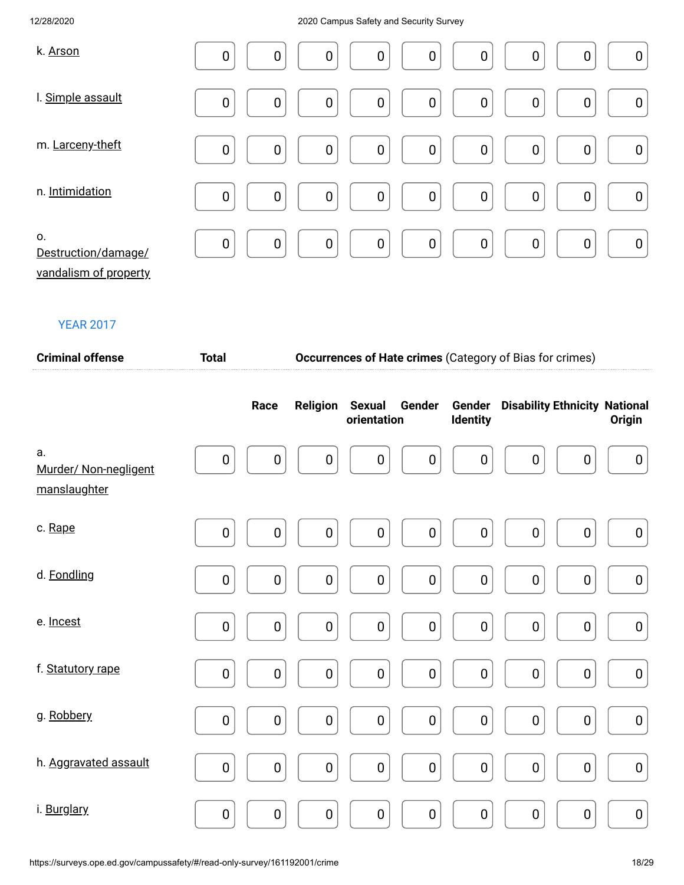| k. Arson                                           | $\mathbf 0$ | $\boldsymbol{0}$ | $\boldsymbol{0}$ | $\boldsymbol{0}$ | $\mathbf 0$      | $\boldsymbol{0}$ | $\mathbf 0$ | 0                | $\boldsymbol{0}$ |
|----------------------------------------------------|-------------|------------------|------------------|------------------|------------------|------------------|-------------|------------------|------------------|
| I. Simple assault                                  | $\mathbf 0$ | $\mathbf 0$      | $\boldsymbol{0}$ | $\boldsymbol{0}$ | $\boldsymbol{0}$ | $\pmb{0}$        | $\mathbf 0$ | $\mathbf 0$      | $\boldsymbol{0}$ |
| m. Larceny-theft                                   | $\mathbf 0$ | $\mathbf 0$      | $\boldsymbol{0}$ | $\pmb{0}$        | $\pmb{0}$        | $\pmb{0}$        | $\mathbf 0$ | $\mathbf 0$      | $\pmb{0}$        |
| n. Intimidation                                    | $\mathbf 0$ | $\mathbf 0$      | $\boldsymbol{0}$ | $\pmb{0}$        | $\pmb{0}$        | $\pmb{0}$        | $\mathbf 0$ | $\mathbf 0$      | $\pmb{0}$        |
| 0.<br>Destruction/damage/<br>vandalism of property | $\mathbf 0$ | $\mathbf 0$      | $\pmb{0}$        | $\mathbf 0$      | $\pmb{0}$        | $\mathbf 0$      | $\mathbf 0$ | $\boldsymbol{0}$ | $\pmb{0}$        |

| <b>Criminal offense</b>                     | <b>Total</b>     | <b>Occurrences of Hate crimes (Category of Bias for crimes)</b> |                  |                              |                  |                           |                                      |                  |                  |
|---------------------------------------------|------------------|-----------------------------------------------------------------|------------------|------------------------------|------------------|---------------------------|--------------------------------------|------------------|------------------|
|                                             |                  | Race                                                            | Religion         | <b>Sexual</b><br>orientation | Gender           | Gender<br><b>Identity</b> | <b>Disability Ethnicity National</b> |                  | Origin           |
| a.<br>Murder/ Non-negligent<br>manslaughter | $\boldsymbol{0}$ | $\mathbf 0$                                                     | $\boldsymbol{0}$ | $\mathbf 0$                  | $\mathbf 0$      | $\boldsymbol{0}$          | $\boldsymbol{0}$                     | 0                | $\boldsymbol{0}$ |
| c. Rape                                     | $\pmb{0}$        | $\boldsymbol{0}$                                                | $\pmb{0}$        | $\pmb{0}$                    | $\pmb{0}$        | $\boldsymbol{0}$          | $\boldsymbol{0}$                     | $\boldsymbol{0}$ | $\boldsymbol{0}$ |
| d. Fondling                                 | $\pmb{0}$        | $\pmb{0}$                                                       | $\pmb{0}$        | $\pmb{0}$                    | $\pmb{0}$        | $\mathbf 0$               | 0                                    | $\pmb{0}$        | $\pmb{0}$        |
| e. Incest                                   | $\mathbf 0$      | $\mathbf 0$                                                     | $\pmb{0}$        | $\mathbf 0$                  | $\mathbf 0$      | $\pmb{0}$                 | $\boldsymbol{0}$                     | $\boldsymbol{0}$ | $\pmb{0}$        |
| f. Statutory rape                           | $\mathbf 0$      | $\mathbf 0$                                                     | $\mathbf 0$      | $\boldsymbol{0}$             | $\mathbf 0$      | $\boldsymbol{0}$          | $\pmb{0}$                            | $\mathbf 0$      | $\pmb{0}$        |
| g. Robbery                                  | $\mathbf 0$      | $\pmb{0}$                                                       | $\pmb{0}$        | $\boldsymbol{0}$             | $\pmb{0}$        | $\boldsymbol{0}$          | $\pmb{0}$                            | $\pmb{0}$        | $\pmb{0}$        |
| h. Aggravated assault                       | $\pmb{0}$        | $\mathbf 0$                                                     | $\pmb{0}$        | $\pmb{0}$                    | $\boldsymbol{0}$ | $\pmb{0}$                 | $\pmb{0}$                            | $\pmb{0}$        | $\pmb{0}$        |
| i. Burglary                                 | $\pmb{0}$        | $\pmb{0}$                                                       | $\pmb{0}$        | $\pmb{0}$                    | $\pmb{0}$        | $\pmb{0}$                 | $\mathbf 0$                          | $\pmb{0}$        | $\pmb{0}$        |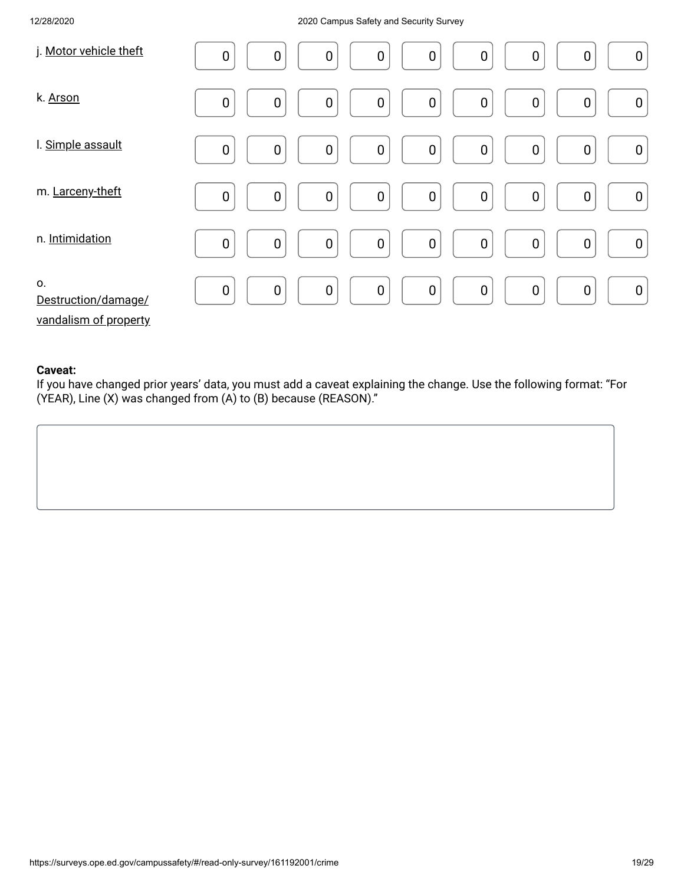| j. Motor vehicle theft                             | $\boldsymbol{0}$<br>$\boldsymbol{0}$<br>$\mathbf 0$<br>0<br>0<br>$\boldsymbol{0}$<br>$\boldsymbol{0}$<br>$\boldsymbol{0}$<br>$\boldsymbol{0}$                     |
|----------------------------------------------------|-------------------------------------------------------------------------------------------------------------------------------------------------------------------|
| k. Arson                                           | $\mathbf 0$<br>$\boldsymbol{0}$<br>$\boldsymbol{0}$<br>$\boldsymbol{0}$<br>$\boldsymbol{0}$<br>0<br>$\mathbf 0$<br>$\boldsymbol{0}$<br>$\boldsymbol{0}$           |
| I. Simple assault                                  | $\boldsymbol{0}$<br>$\boldsymbol{0}$<br>$\boldsymbol{0}$<br>$\boldsymbol{0}$<br>$\mathbf 0$<br>$\mathbf 0$<br>$\mathbf 0$<br>$\boldsymbol{0}$<br>$\boldsymbol{0}$ |
| m. Larceny-theft                                   | $\pmb{0}$<br>$\boldsymbol{0}$<br>$\boldsymbol{0}$<br>$\mathbf 0$<br>$\mathbf 0$<br>$\mathbf 0$<br>$\pmb{0}$<br>$\boldsymbol{0}$<br>$\boldsymbol{0}$               |
| n. Intimidation                                    | $\pmb{0}$<br>$\mathbf 0$<br>$\mathbf 0$<br>$\boldsymbol{0}$<br>$\overline{0}$<br>$\mathbf 0$<br>$\mathbf 0$<br>$\boldsymbol{0}$<br>$\pmb{0}$                      |
| 0.<br>Destruction/damage/<br>vandalism of property | $\pmb{0}$<br>$\mathbf 0$<br>$\boldsymbol{0}$<br>$\boldsymbol{0}$<br>$\mathbf 0$<br>$\pmb{0}$<br>$\boldsymbol{0}$<br>$\boldsymbol{0}$<br>0                         |

#### **Caveat:**

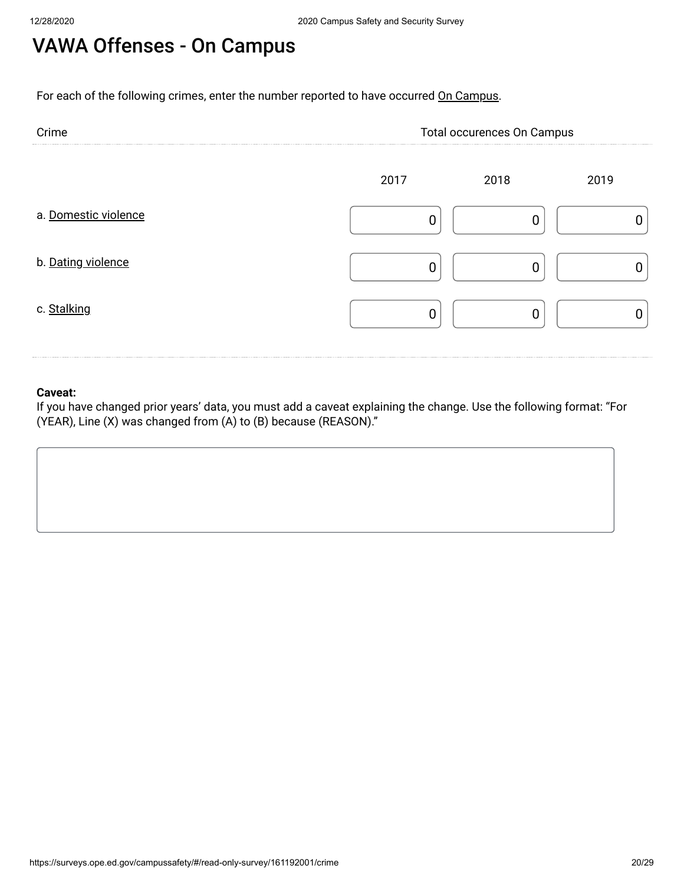# VAWA Offenses - On Campus

For each of the following crimes, enter the number reported to have occurred On Campus.

| Crime                | Total occurences On Campus |      |      |
|----------------------|----------------------------|------|------|
|                      | 2017                       | 2018 | 2019 |
| a. Domestic violence |                            |      |      |
| b. Dating violence   |                            |      |      |
| c. Stalking          |                            |      |      |

### **Caveat:**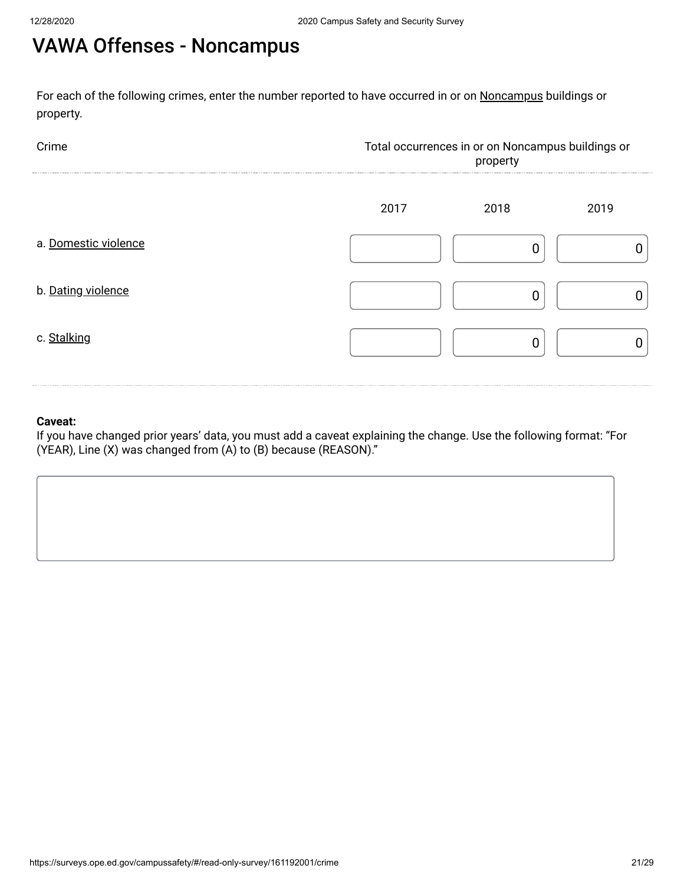# VAWA Offenses - Noncampus

For each of the following crimes, enter the number reported to have occurred in or on <u>Noncampus</u> buildings or property.



#### **Caveat:**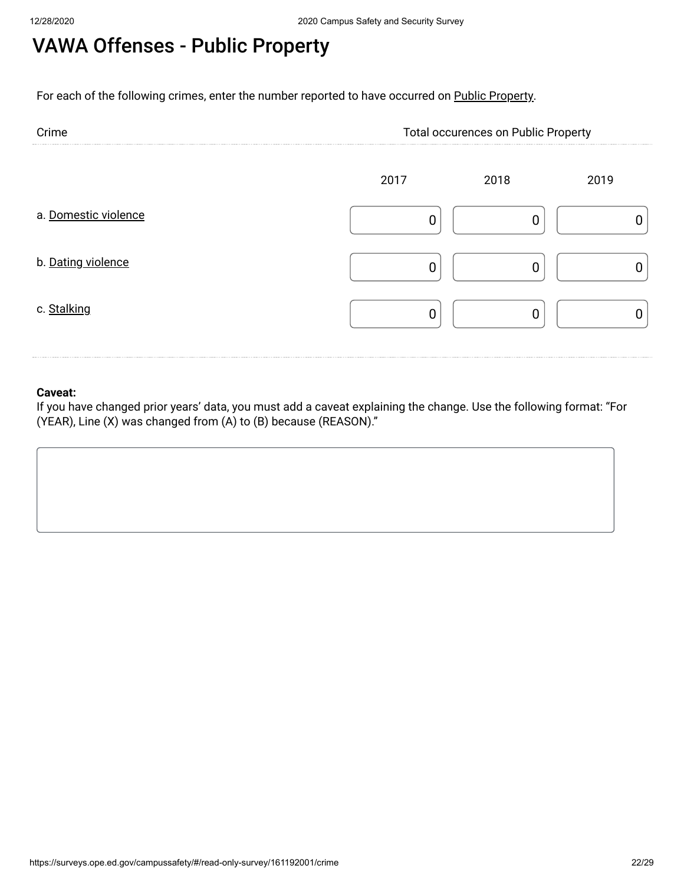### VAWA Offenses - Public Property

For each of the following crimes, enter the number reported to have occurred on Public Property.

| Crime                | <b>Total occurences on Public Property</b> |      |      |
|----------------------|--------------------------------------------|------|------|
|                      | 2017                                       | 2018 | 2019 |
| a. Domestic violence |                                            |      |      |
| b. Dating violence   |                                            |      |      |
| c. Stalking          |                                            |      |      |

### **Caveat:**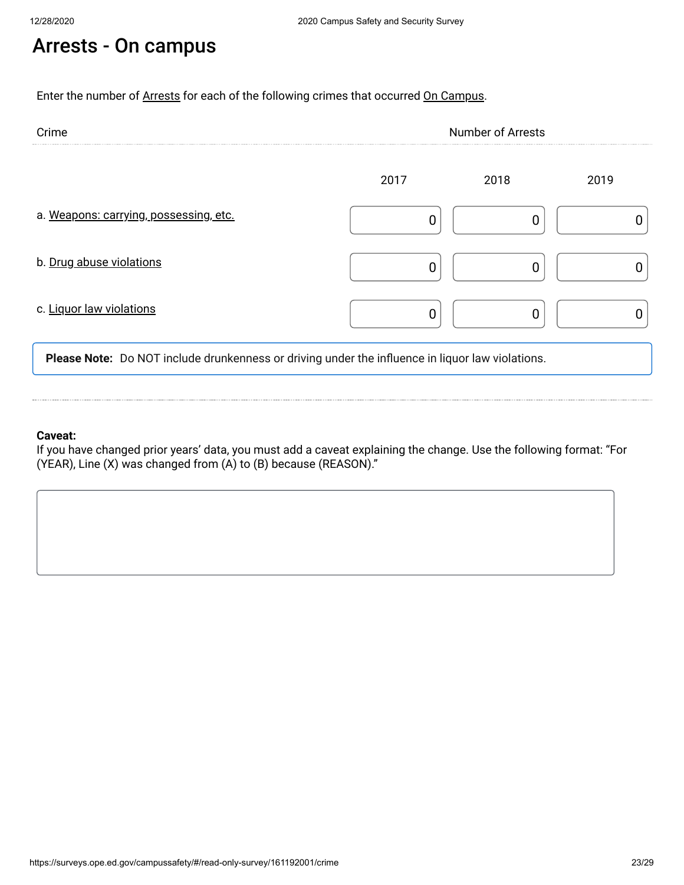# Arrests - On campus

Enter the number of Arrests for each of the following crimes that occurred On Campus.

| Crime                                  | <b>Number of Arrests</b> |      |      |
|----------------------------------------|--------------------------|------|------|
|                                        | 2017                     | 2018 | 2019 |
| a. Weapons: carrying, possessing, etc. |                          |      |      |
| b. Drug abuse violations               |                          |      |      |
| c. Liquor law violations               |                          |      |      |

**Please Note:** Do NOT include drunkenness or driving under the influence in liquor law violations.

#### **Caveat:**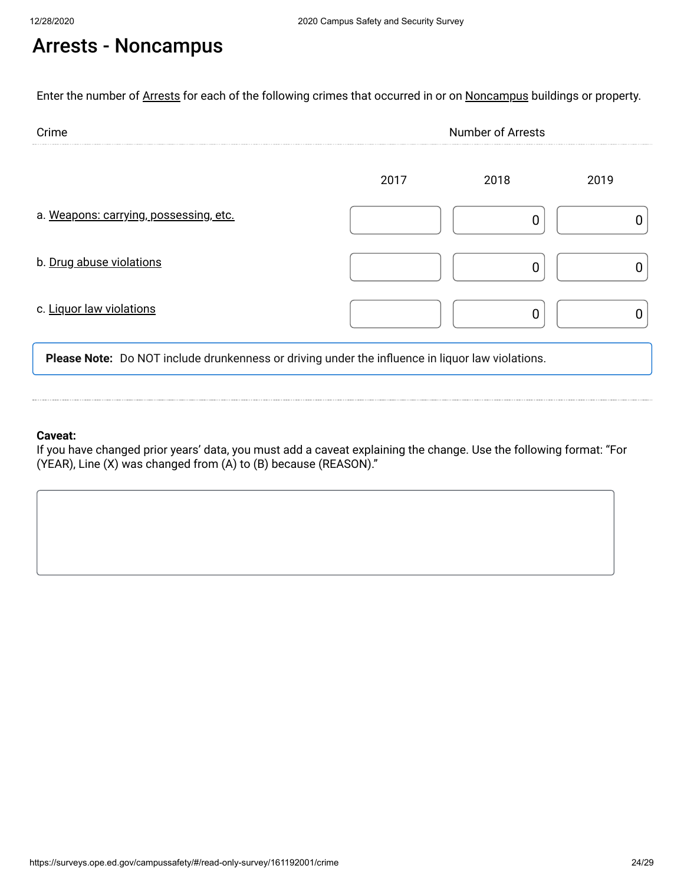# Arrests - Noncampus

Enter the number of Arrests for each of the following crimes that occurred in or on Noncampus buildings or property.

| Crime                                  | <b>Number of Arrests</b> |      |      |
|----------------------------------------|--------------------------|------|------|
|                                        | 2017                     | 2018 | 2019 |
| a. Weapons: carrying, possessing, etc. |                          |      |      |
| b. Drug abuse violations               |                          |      |      |
| c. Liquor law violations               |                          |      |      |

**Please Note:** Do NOT include drunkenness or driving under the influence in liquor law violations.

#### **Caveat:**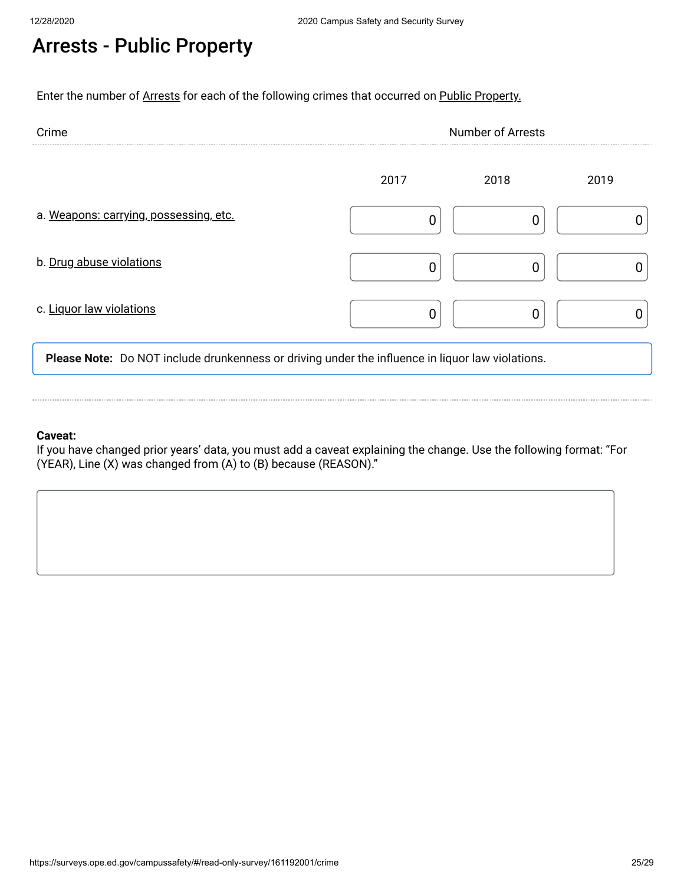# Arrests - Public Property

Enter the number of Arrests for each of the following crimes that occurred on Public Property.

| Crime                                  | <b>Number of Arrests</b> |      |      |
|----------------------------------------|--------------------------|------|------|
|                                        | 2017                     | 2018 | 2019 |
| a. Weapons: carrying, possessing, etc. |                          |      |      |
| b. Drug abuse violations               |                          |      |      |
| c. Liquor law violations               |                          |      |      |

**Please Note:** Do NOT include drunkenness or driving under the influence in liquor law violations.

#### **Caveat:**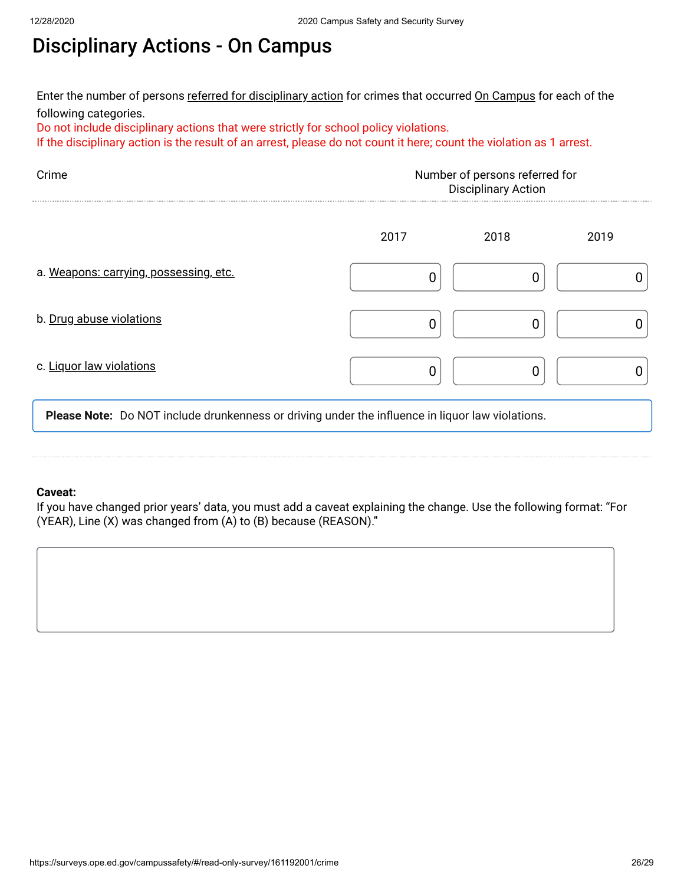# Disciplinary Actions - On Campus

Enter the number of persons <u>referred for disciplinary action</u> for crimes that occurred <u>On Campus</u> for each of the following categories.

Do not include disciplinary actions that were strictly for school policy violations.

If the disciplinary action is the result of an arrest, please do not count it here; count the violation as 1 arrest.

| Crime                                  | Number of persons referred for<br><b>Disciplinary Action</b> |      |      |
|----------------------------------------|--------------------------------------------------------------|------|------|
|                                        | 2017                                                         | 2018 | 2019 |
| a. Weapons: carrying, possessing, etc. |                                                              |      |      |
| b. Drug abuse violations               |                                                              |      |      |
| c. Liquor law violations               |                                                              |      |      |

**Please Note:** Do NOT include drunkenness or driving under the influence in liquor law violations.

#### **Caveat:**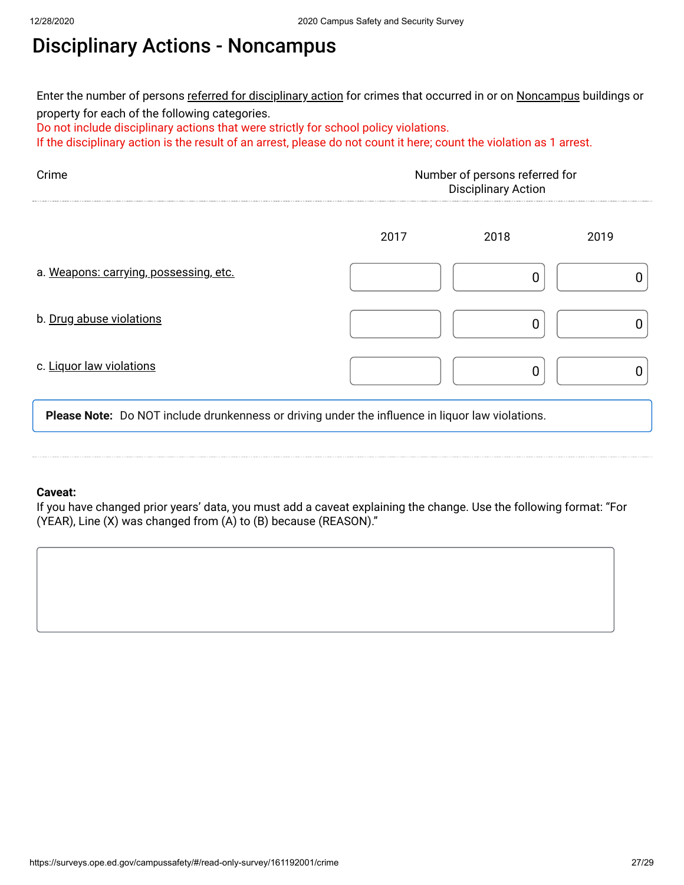### Disciplinary Actions - Noncampus

Enter the number of persons <u>referred for disciplinary action</u> for crimes that occurred in or on <u>Noncampus</u> buildings or property for each of the following categories.

Do not include disciplinary actions that were strictly for school policy violations.

If the disciplinary action is the result of an arrest, please do not count it here; count the violation as 1 arrest.

| Crime                                  | Number of persons referred for<br><b>Disciplinary Action</b> |      |      |
|----------------------------------------|--------------------------------------------------------------|------|------|
|                                        | 2017                                                         | 2018 | 2019 |
| a. Weapons: carrying, possessing, etc. |                                                              |      |      |
| b. Drug abuse violations               |                                                              |      |      |
| c. Liquor law violations               |                                                              |      |      |

**Please Note:** Do NOT include drunkenness or driving under the influence in liquor law violations.

#### **Caveat:**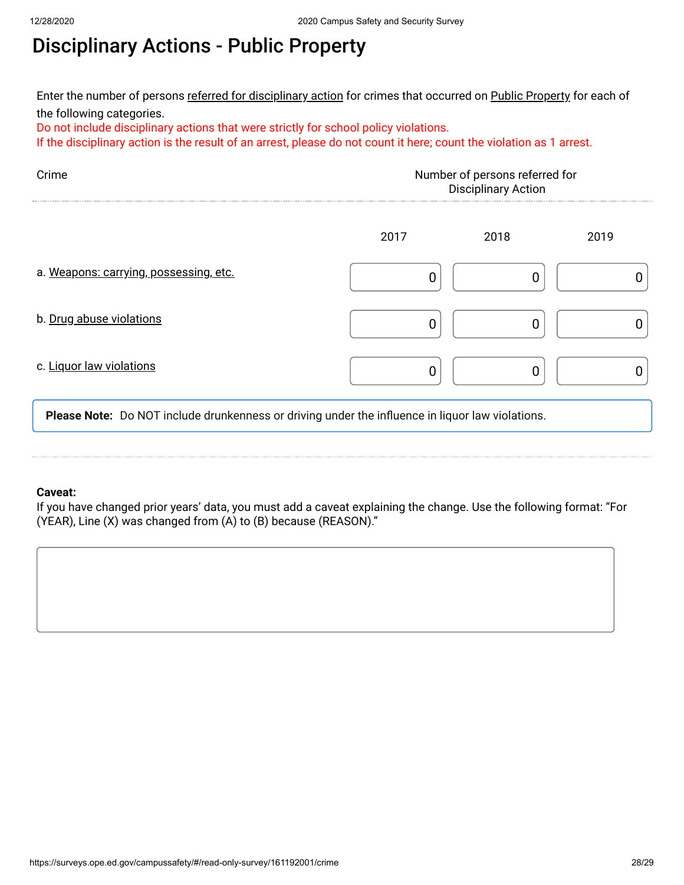# Disciplinary Actions - Public Property

Enter the number of persons <u>referred for disciplinary action</u> for crimes that occurred on <u>Public Property</u> for each of the following categories.

Do not include disciplinary actions that were strictly for school policy violations.

If the disciplinary action is the result of an arrest, please do not count it here; count the violation as 1 arrest.

| Number of persons referred for<br><b>Disciplinary Action</b> |      |      |
|--------------------------------------------------------------|------|------|
| 2017                                                         | 2018 | 2019 |
|                                                              |      |      |
|                                                              |      |      |
|                                                              |      |      |
|                                                              |      |      |

**Please Note:** Do NOT include drunkenness or driving under the influence in liquor law violations.

#### **Caveat:**